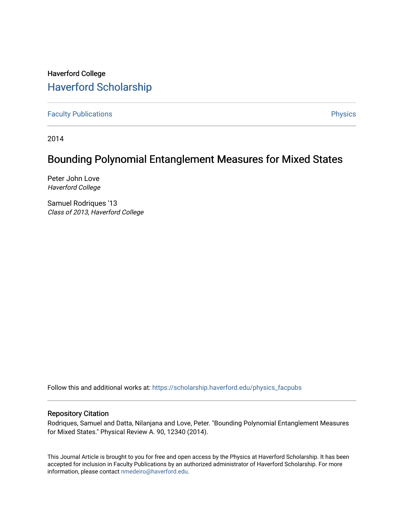# Haverford College [Haverford Scholarship](https://scholarship.haverford.edu/)

[Faculty Publications](https://scholarship.haverford.edu/physics_facpubs) **Physics** 

2014

## Bounding Polynomial Entanglement Measures for Mixed States

Peter John Love Haverford College

Samuel Rodriques '13 Class of 2013, Haverford College

Follow this and additional works at: [https://scholarship.haverford.edu/physics\\_facpubs](https://scholarship.haverford.edu/physics_facpubs?utm_source=scholarship.haverford.edu%2Fphysics_facpubs%2F282&utm_medium=PDF&utm_campaign=PDFCoverPages) 

## Repository Citation

Rodriques, Samuel and Datta, Nilanjana and Love, Peter. "Bounding Polynomial Entanglement Measures for Mixed States." Physical Review A. 90, 12340 (2014).

This Journal Article is brought to you for free and open access by the Physics at Haverford Scholarship. It has been accepted for inclusion in Faculty Publications by an authorized administrator of Haverford Scholarship. For more information, please contact [nmedeiro@haverford.edu.](mailto:nmedeiro@haverford.edu)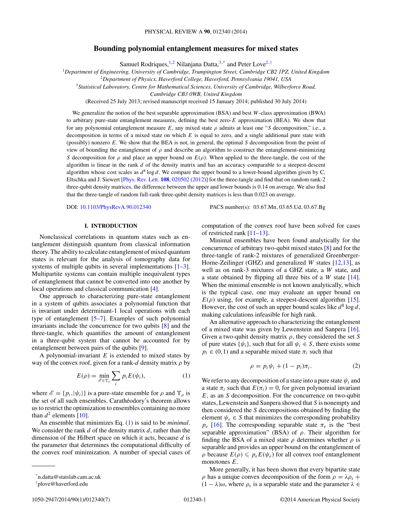## **Bounding polynomial entanglement measures for mixed states**

Samuel Rodriques,<sup>1,2</sup> Nilanjana Datta,<sup>3,\*</sup> and Peter Love<sup>2,†</sup>

<sup>1</sup>*Department of Engineering, University of Cambridge, Trumpington Street, Cambridge CB2 1PZ, United Kingdom*

<sup>2</sup>*Department of Physics, Haverford College, Haverford, Pennsylvania 19041, USA*

<sup>3</sup>*Statistical Laboratory, Centre for Mathematical Sciences, University of Cambridge, Wilberforce Road,*

*Cambridge CB3 0WB, United Kingdom*

(Received 25 July 2013; revised manuscript received 15 January 2014; published 30 July 2014)

We generalize the notion of the best separable approximation (BSA) and best *W*-class approximation (BWA) to arbitrary pure-state entanglement measures, defining the best zero-*E* approximation (BEA). We show that for any polynomial entanglement measure  $E$ , any mixed state  $\rho$  admits at least one "*S* decomposition," i.e., a decomposition in terms of a mixed state on which *E* is equal to zero, and a single additional pure state with (possibly) nonzero *E*. We show that the BEA is not, in general, the optimal *S* decomposition from the point of view of bounding the entanglement of  $\rho$  and describe an algorithm to construct the entanglement-minimizing *S* decomposition for  $\rho$  and place an upper bound on  $E(\rho)$ . When applied to the three-tangle, the cost of the algorithm is linear in the rank *d* of the density matrix and has an accuracy comparable to a steepest-descent algorithm whose cost scales as  $d^8 \log d$ . We compare the upper bound to a lower-bound algorithm given by C. Eltschka and J. Siewert [\[Phys. Rev. Lett.](http://dx.doi.org/10.1103/PhysRevLett.108.020502) **[108](http://dx.doi.org/10.1103/PhysRevLett.108.020502)**, [020502](http://dx.doi.org/10.1103/PhysRevLett.108.020502) [\(2012\)](http://dx.doi.org/10.1103/PhysRevLett.108.020502)] for the three-tangle and find that on random rank-2 three-qubit density matrices, the difference between the upper and lower bounds is 0*.*14 on average. We also find that the three-tangle of random full-rank three-qubit density matrices is less than 0*.*023 on average.

DOI: [10.1103/PhysRevA.90.012340](http://dx.doi.org/10.1103/PhysRevA.90.012340) PACS number(s): 03*.*67*.*Mn*,* 03*.*65*.*Ud*,* 03*.*67*.*Bg

### **I. INTRODUCTION**

Nonclassical correlations in quantum states such as entanglement distinguish quantum from classical information theory. The ability to calculate entanglement of mixed quantum states is relevant for the analysis of tomography data for systems of multiple qubits in several implementations  $[1-3]$ . Multipartite systems can contain multiple inequivalent types of entanglement that cannot be converted into one another by local operations and classical communication [\[4\]](#page-7-0).

One approach to characterizing pure-state entanglement in a system of qubits associates a polynomial function that is invariant under determinant-1 local operations with each type of entanglement [\[5–7\]](#page-7-0). Examples of such polynomial invariants include the concurrence for two qubits [\[8\]](#page-7-0) and the three-tangle, which quantifies the amount of entanglement in a three-qubit system that cannot be accounted for by entanglement between pairs of the qubits [\[9\]](#page-7-0).

A polynomial-invariant *E* is extended to mixed states by way of the convex roof, given for a rank-*d* density matrix *ρ* by

$$
E(\rho) = \min_{\mathcal{E} \in \Upsilon_{\rho}} \sum_{i} p_i E(\psi_i), \tag{1}
$$

where  $\mathscr{E} = \{p_i, |\psi_i\rangle\}$  is a pure-state ensemble for  $\rho$  and  $\Upsilon_\rho$  is the set of all such ensembles. Carathéodory's theorem allows us to restrict the optimization to ensembles containing no more than  $d^2$  elements [\[10\]](#page-7-0).

An ensemble that minimizes Eq. (1) is said to be *minimal*. We consider the rank *d* of the density matrix *d*, rather than the dimension of the Hilbert space on which it acts, because *d* is the parameter that determines the computational difficulty of the convex roof minimization. A number of special cases of computation of the convex roof have been solved for cases of restricted rank [\[11–13\]](#page-7-0).

Minimal ensembles have been found analytically for the concurrence of arbitrary two-qubit mixed states [\[8\]](#page-7-0) and for the three-tangle of rank-2 mixtures of generalized Greenberger-Horne-Zeilinger (GHZ) and generalized *W* states [\[12,13\]](#page-7-0), as well as on rank-3 mixtures of a GHZ state, a *W* state, and a state obtained by flipping all three bits of a *W* state [\[14\]](#page-7-0). When the minimal ensemble is not known analytically, which is the typical case, one may evaluate an upper bound on  $E(\rho)$  using, for example, a steepest-descent algorithm [\[15\]](#page-7-0). However, the cost of such an upper bound scales like  $d^8 \log d$ , making calculations infeasible for high rank.

An alternative approach to characterizing the entanglement of a mixed state was given by Lewenstein and Sanpera [\[16\]](#page-7-0). Given a two-qubit density matrix *ρ*, they considered the set *S* of pure states  $\{\psi_i\}$ , such that for all  $\psi_i \in S$ , there exists some  $p_i \in (0,1)$  and a separable mixed state  $\pi_i$  such that

$$
\rho = p_i \psi_i + (1 - p_i) \pi_i. \tag{2}
$$

We refer to any decomposition of a state into a pure state  $\psi_i$  and a state  $\pi_i$  such that  $E(\pi_i) = 0$ , for given polynomial invariant *E*, as an *S* decomposition. For the concurrence on two-qubit states, Lewenstein and Sanpera showed that *S* is nonempty and then considered the *S* decompositions obtained by finding the element  $\psi_e \in S$  that minimizes the corresponding probability  $p_e$  [\[16\]](#page-7-0). The corresponding separable state  $\pi_e$  is the "best" separable approximation" (BSA) of *ρ*. Their algorithm for finding the BSA of a mixed state  $\rho$  determines whether  $\rho$  is separable and provides an upper bound on the entanglement of  $\rho$  because  $E(\rho) \leqslant p_e E(\psi_e)$  for all convex roof entanglement monotones *E*.

More generally, it has been shown that every bipartite state *ρ* has a unique convex decomposition of the form  $\rho = \lambda \rho_s + \lambda \rho_s$  $(1 - \lambda)\omega$ , where  $\rho_s$  is a separable state and the parameter  $\lambda \in$ 

<sup>\*</sup>n.datta@statslab.cam.ac.uk

<sup>†</sup> plove@haverford.edu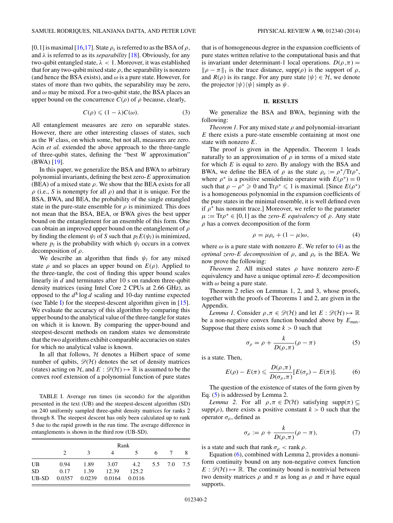<span id="page-2-0"></span>[0,1] is maximal [\[16,17\]](#page-7-0). State  $\rho_s$  is referred to as the BSA of  $\rho$ , and  $\lambda$  is referred to as its *separability* [\[18\]](#page-7-0). Obviously, for any two-qubit entangled state, *λ <* 1. Moreover, it was established that for any two-qubit mixed state  $\rho$ , the separability is nonzero (and hence the BSA exists), and  $\omega$  is a pure state. However, for states of more than two qubits, the separability may be zero, and *ω* may be mixed. For a two-qubit state, the BSA places an upper bound on the concurrence  $C(\rho)$  of  $\rho$  because, clearly,

$$
C(\rho) \leqslant (1 - \lambda)C(\omega). \tag{3}
$$

All entanglement measures are zero on separable states. However, there are other interesting classes of states, such as the *W* class, on which some, but not all, measures are zero. Acin *et al.* extended the above approach to the three-tangle of three-qubit states, defining the "best *W* approximation" (BWA) [\[19\]](#page-7-0).

In this paper, we generalize the BSA and BWA to arbitrary polynomial invariants, defining the best zero-*E* approximation (BEA) of a mixed state  $\rho$ . We show that the BEA exists for all *ρ* (i.e., *S* is nonempty for all *ρ*) and that it is unique. For the BSA, BWA, and BEA, the probability of the single entangled state in the pure-state ensemble for  $\rho$  is minimized. This does not mean that the BSA, BEA, or BWA gives the best upper bound on the entanglement for an ensemble of this form. One can obtain an improved upper bound on the entanglement of *ρ* by finding the element  $\psi_l$  of *S* such that  $p_l E(\psi_l)$  is minimized, where  $p_l$  is the probability with which  $\psi_l$  occurs in a convex decomposition of *ρ*.

We describe an algorithm that finds  $\psi_l$  for any mixed state  $\rho$  and so places an upper bound on  $E(\rho)$ . Applied to the three-tangle, the cost of finding this upper bound scales linearly in *d* and terminates after 10 s on random three-qubit density matrices (using Intel Core 2 CPUs at 2*.*66 GHz), as opposed to the  $d^8 \log d$  scaling and 10-day runtime expected (see Table I) for the steepest-descent algorithm given in  $[15]$ . We evaluate the accuracy of this algorithm by comparing this upper bound to the analytical value of the three-tangle for states on which it is known. By comparing the upper-bound and steepest-descent methods on random states we demonstrate that the two algorithms exhibit comparable accuracies on states for which no analytical value is known.

In all that follows,  $H$  denotes a Hilbert space of some number of qubits,  $\mathcal{D}(\mathcal{H})$  denotes the set of density matrices (states) acting on H, and  $E : \mathcal{D}(\mathcal{H}) \mapsto \mathbb{R}$  is assumed to be the convex roof extension of a polynomial function of pure states

TABLE I. Average run times (in seconds) for the algorithm presented in the text (UB) and the steepest-descent algorithm (SD) on 240 uniformly sampled three-qubit density matrices for ranks 2 through 8. The steepest descent has only been calculated up to rank 5 due to the rapid growth in the run time. The average difference in entanglements is shown in the third row (UB-SD).

|           | Rank          |               |        |                 |     |  |  |
|-----------|---------------|---------------|--------|-----------------|-----|--|--|
|           | $\mathcal{D}$ | 3             |        |                 | - 6 |  |  |
| UB        | 0.94          | 1.89          | 3.07   | 4.2 5.5 7.0 7.5 |     |  |  |
| <b>SD</b> | 0.17          | 1.39          | 12.39  | 125.2           |     |  |  |
| UB-SD     |               | 0.0357 0.0239 | 0.0164 | 0.0116          |     |  |  |

that is of homogeneous degree in the expansion coefficients of pure states written relative to the computational basis and that is invariant under determinant-1 local operations.  $D(\rho, \pi) =$  $\|\rho - \pi\|_1$  is the trace distance, supp( $\rho$ ) is the support of  $\rho$ , and  $R(\rho)$  is its range. For any pure state  $|\psi\rangle \in \mathcal{H}$ , we denote the projector  $|\psi\rangle\langle\psi|$  simply as  $\psi$ .

### **II. RESULTS**

We generalize the BSA and BWA, beginning with the following:

*Theorem 1.* For any mixed state  $\rho$  and polynomial-invariant *E* there exists a pure-state ensemble containing at most one state with nonzero *E*.

The proof is given in the Appendix. Theorem 1 leads naturally to an approximation of  $\rho$  in terms of a mixed state for which *E* is equal to zero. By analogy with the BSA and BWA, we define the BEA of *ρ* as the state  $ρ_e := ρ^*/Trρ^*$ , where  $\rho^*$  is a positive semidefinite operator with  $E(\rho^*) = 0$ such that  $\rho - \rho^* \ge 0$  and Tr $\rho^* \le 1$  is maximal. [Since  $E(\rho^*)$ ] is a homogeneous polynomial in the expansion coefficients of the pure states in the minimal ensemble, it is well defined even if  $\rho^*$  has nonunit trace.] Moreover, we refer to the parameter  $\mu := \text{Tr}\rho^* \in [0,1]$  as the *zero-E equivalency* of  $\rho$ . Any state *ρ* has a convex decomposition of the form

$$
\rho = \mu \rho_e + (1 - \mu)\omega,\tag{4}
$$

where  $\omega$  is a pure state with nonzero *E*. We refer to (4) as the *optimal zero-E decomposition* of  $\rho$ , and  $\rho_e$  is the BEA. We now prove the following:

*Theorem 2.* All mixed states  $\rho$  have nonzero zero-*E* equivalency and have a unique optimal zero-*E* decomposition with  $\omega$  being a pure state.

Theorem 2 relies on Lemmas 1, 2, and 3, whose proofs, together with the proofs of Theorems 1 and 2, are given in the Appendix.

*Lemma 1.* Consider  $\rho, \pi \in \mathcal{D}(\mathcal{H})$  and let  $E : \mathcal{D}(\mathcal{H}) \mapsto \mathbb{R}$ be a non-negative convex function bounded above by *E*max. Suppose that there exists some  $k > 0$  such that

$$
\sigma_{\rho} = \rho + \frac{k}{D(\rho, \pi)} (\rho - \pi) \tag{5}
$$

is a state. Then,

$$
E(\rho) - E(\pi) \leqslant \frac{D(\rho, \pi)}{D(\sigma_{\rho}, \pi)} [E(\sigma_{\rho}) - E(\pi)]. \tag{6}
$$

The question of the existence of states of the form given by Eq. (5) is addressed by Lemma 2.

*Lemma 2.* For all  $\rho, \pi \in \mathcal{D}(\mathcal{H})$  satisfying supp $(\pi) \subseteq$ supp( $\rho$ ), there exists a positive constant  $k > 0$  such that the operator *σρ*, defined as

$$
\sigma_{\rho} := \rho + \frac{k}{D(\rho, \pi)} (\rho - \pi), \tag{7}
$$

is a state and such that rank  $\sigma_{\rho}$  < rank  $\rho$ .

Equation (6), combined with Lemma 2, provides a nonuniform continuity bound on any non-negative convex function  $E : \mathcal{D}(\mathcal{H}) \mapsto \mathbb{R}$ . The continuity bound is nontrivial between two density matrices *ρ* and *π* as long as *ρ* and *π* have equal supports.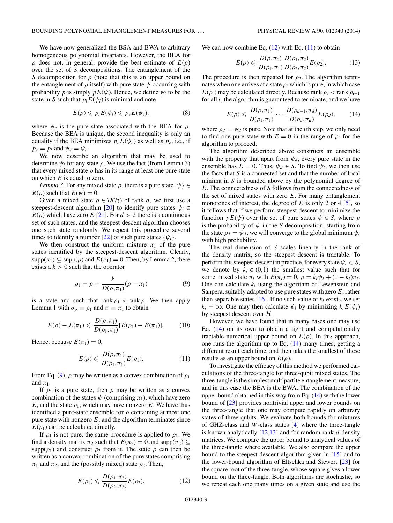<span id="page-3-0"></span>We have now generalized the BSA and BWA to arbitrary homogeneous polynomial invariants. However, the BEA for  $\rho$  does not, in general, provide the best estimate of  $E(\rho)$ over the set of *S* decompositions. The entanglement of the *S* decomposition for *ρ* (note that this is an upper bound on the entanglement of  $\rho$  itself) with pure state  $\psi$  occurring with probability *p* is simply  $pE(\psi)$ . Hence, we define  $\psi_l$  to be the state in *S* such that  $p_l E(\psi_l)$  is minimal and note

$$
E(\rho) \leqslant p_l E(\psi_l) \leqslant p_e E(\psi_e), \tag{8}
$$

where  $\psi_e$  is the pure state associated with the BEA for  $\rho$ . Because the BEA is unique, the second inequality is only an equality if the BEA minimizes  $p_e E(\psi_e)$  as well as  $p_e$ , i.e., if  $p_e = p_l$  and  $\psi_e = \psi_l$ .

We now describe an algorithm that may be used to determine  $\psi_l$  for any state  $\rho$ . We use the fact (from Lemma 3) that every mixed state  $\rho$  has in its range at least one pure state on which *E* is equal to zero.

*Lemma 3.* For any mixed state  $\rho$ , there is a pure state  $|\psi\rangle \in$ *R*( $\rho$ ) such that  $E(\psi) = 0$ .

Given a mixed state  $\rho \in \mathcal{D}(\mathcal{H})$  of rank *d*, we first use a steepest-descent algorithm [\[20\]](#page-7-0) to identify pure states  $\psi_i \in$  $R(\rho)$  which have zero *E* [\[21\]](#page-7-0). For  $d > 2$  there is a continuous set of such states, and the steepest-descent algorithm chooses one such state randomly. We repeat this procedure several times to identify a number  $[22]$  of such pure states  $\{\psi_i\}$ .

We then construct the uniform mixture  $\pi_1$  of the pure states identified by the steepest-descent algorithm. Clearly,  $supp(\pi_1) \subseteq supp(\rho)$  and  $E(\pi_1) = 0$ . Then, by Lemma 2, there exists a  $k > 0$  such that the operator

$$
\rho_1 = \rho + \frac{k}{D(\rho, \pi_1)} (\rho - \pi_1)
$$
\n(9)

is a state and such that rank  $\rho_1$  < rank  $\rho$ . We then apply Lemma 1 with  $\sigma_{\rho} \equiv \rho_1$  and  $\pi \equiv \pi_1$  to obtain

$$
E(\rho) - E(\pi_1) \leqslant \frac{D(\rho, \pi_1)}{D(\rho_1, \pi_1)} [E(\rho_1) - E(\pi_1)]. \tag{10}
$$

Hence, because  $E(\pi_1) = 0$ ,

$$
E(\rho) \leqslant \frac{D(\rho, \pi_1)}{D(\rho_1, \pi_1)} E(\rho_1). \tag{11}
$$

From Eq. (9),  $\rho$  may be written as a convex combination of  $\rho_1$ and  $\pi_1$ .

If  $\rho_1$  is a pure state, then  $\rho$  may be written as a convex combination of the states  $\psi$  (comprising  $\pi_1$ ), which have zero *E*, and the state  $\rho_1$ , which may have nonzero *E*. We have thus identified a pure-state ensemble for  $\rho$  containing at most one pure state with nonzero  $E$ , and the algorithm terminates since  $E(\rho_1)$  can be calculated directly.

If  $\rho_1$  is not pure, the same procedure is applied to  $\rho_1$ . We find a density matrix  $\pi_2$  such that  $E(\pi_2) = 0$  and supp $(\pi_2) \subseteq$ supp( $\rho_1$ ) and construct  $\rho_2$  from it. The state  $\rho$  can then be written as a convex combination of the pure states comprising  $\pi_1$  and  $\pi_2$ , and the (possibly mixed) state  $\rho_2$ . Then,

$$
E(\rho_1) \leqslant \frac{D(\rho_1, \pi_2)}{D(\rho_2, \pi_2)} E(\rho_2). \tag{12}
$$

We can now combine Eq.  $(12)$  with Eq.  $(11)$  to obtain

$$
E(\rho) \leqslant \frac{D(\rho, \pi_1)}{D(\rho_1, \pi_1)} \frac{D(\rho_1, \pi_2)}{D(\rho_2, \pi_2)} E(\rho_2). \tag{13}
$$

The procedure is then repeated for  $\rho_2$ . The algorithm terminates when one arrives at a state  $\rho_i$  which is pure, in which case *E*( $\rho$ <sub>i</sub>) may be calculated directly. Because rank  $\rho$ <sub>i</sub> < rank  $\rho$ <sub>i−1</sub> for all *i*, the algorithm is guaranteed to terminate, and we have

$$
E(\rho) \leqslant \frac{D(\rho, \pi_1)}{D(\rho_1, \pi_1)} \cdots \frac{D(\rho_{d-1}, \pi_d)}{D(\rho_d, \pi_d)} E(\rho_d),\tag{14}
$$

where  $\rho_d = \psi_d$  is pure. Note that at the *i*th step, we only need to find one pure state with  $E = 0$  in the range of  $\rho_i$  for the algorithm to proceed.

The algorithm described above constructs an ensemble with the property that apart from  $\psi_d$ , every pure state in the ensemble has  $E = 0$ . Thus,  $\psi_d \in S$ . To find  $\psi_l$ , we then use the facts that *S* is a connected set and that the number of local minima in *S* is bounded above by the polynomial degree of *E*. The connectedness of *S* follows from the connectedness of the set of mixed states with zero *E*. For many entanglement monotones of interest, the degree of  $E$  is only 2 or 4 [\[5\]](#page-7-0), so it follows that if we perform steepest descent to minimize the function  $pE(\psi)$  over the set of pure states  $\psi \in S$ , where *p* is the probability of  $\psi$  in the *S* decomposition, starting from the state  $\rho_d = \psi_d$ , we will converge to the global minimum  $\psi_l$ with high probability.

The real dimension of *S* scales linearly in the rank of the density matrix, so the steepest descent is tractable. To perform this steepest descent in practice, for every state  $\psi_i \in S$ , we denote by  $k_i \in (0,1)$  the smallest value such that for some mixed state  $\pi_i$  with  $E(\pi_i) = 0$ ,  $\rho = k_i \psi_i + (1 - k_i)\pi_i$ . One can calculate *ki* using the algorithm of Lewenstein and Sanpera, suitably adapted to use pure states with zero *E*, rather than separable states  $[16]$ . If no such value of  $k_i$  exists, we set  $k_i = \infty$ . One may then calculate  $\psi_i$  by minimizing  $k_i E(\psi_i)$ by steepest descent over H.

However, we have found that in many cases one may use Eq. (14) on its own to obtain a tight and computationally tractable numerical upper bound on  $E(\rho)$ . In this approach, one runs the algorithm up to Eq.  $(14)$  many times, getting a different result each time, and then takes the smallest of these results as an upper bound on  $E(\rho)$ .

To investigate the efficacy of this method we performed calculations of the three-tangle for three-qubit mixed states. The three-tangle is the simplest multipartite entanglement measure, and in this case the BEA is the BWA. The combination of the upper bound obtained in this way from Eq. (14) with the lower bound of [\[23\]](#page-7-0) provides nontrivial upper and lower bounds on the three-tangle that one may compute rapidly on arbitrary states of three qubits. We evaluate both bounds for mixtures of GHZ-class and *W*-class states [\[4\]](#page-7-0) where the three-tangle is known analytically [\[12,13\]](#page-7-0) and for random rank-*d* density matrices. We compare the upper bound to analytical values of the three-tangle where available. We also compare the upper bound to the steepest-descent algorithm given in [\[15\]](#page-7-0) and to the lower-bound algorithm of Eltschka and Siewert [\[23\]](#page-7-0) for the square root of the three-tangle, whose square gives a lower bound on the three-tangle. Both algorithms are stochastic, so we repeat each one many times on a given state and use the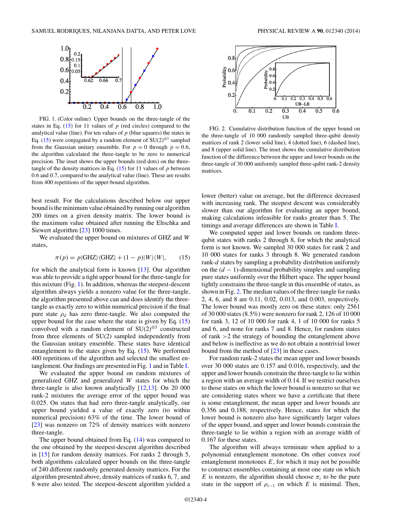

FIG. 1. (Color online) Upper bounds on the three-tangle of the states in Eq.  $(15)$  for 11 values of  $p$  (red circles) compared to the analytical value (line). For ten values of  $p$  (blue squares) the states in Eq. (15) were conjugated by a random element of SU(2)<sup>⊗3</sup> sampled from the Gaussian unitary ensemble. For  $p = 0$  through  $p = 0.6$ , the algorithm calculated the three-tangle to be zero to numerical precision. The inset shows the upper bounds (red dots) on the threetangle of the density matrices in Eq. (15) for 11 values of *p* between 0*.*6 and 0*.*7, compared to the analytical value (line). These are results from 400 repetitions of the upper-bound algorithm.

best result. For the calculations described below our upper bound is the minimum value obtained by running our algorithm 200 times on a given density matrix. The lower bound is the maximum value obtained after running the Eltschka and Siewert algorithm [\[23\]](#page-7-0) 1000 times.

We evaluated the upper bound on mixtures of GHZ and *W* states,

$$
\pi(p) = p|\text{GHZ}\rangle\langle\text{GHZ}| + (1 - p)|W\rangle\langle W|, \qquad (15)
$$

for which the analytical form is known [\[13\]](#page-7-0). Our algorithm was able to provide a tight upper bound for the three-tangle for this mixture (Fig. 1). In addition, whereas the steepest-descent algorithm always yields a nonzero value for the three-tangle, the algorithm presented above can and does identify the threetangle as exactly zero to within numerical precision if the final pure state *ρd* has zero three-tangle. We also computed the upper bound for the case where the state is given by Eq. (15) convolved with a random element of SU(2)<sup>⊗3</sup> constructed from three elements of SU(2) sampled independently from the Gaussian unitary ensemble. These states have identical entanglement to the states given by Eq. (15). We performed 400 repetitions of the algorithm and selected the smallest entanglement. Our findings are presented in Fig. 1 and in Table [I.](#page-2-0)

We evaluated the upper bound on random mixtures of generalized GHZ and generalized *W* states for which the three-tangle is also known analytically [\[12,13\]](#page-7-0). On 20 000 rank-2 mixtures the average error of the upper bound was 0*.*025. On states that had zero three-tangle analytically, our upper bound yielded a value of exactly zero (to within numerical precision) 63% of the time. The lower bound of [\[23\]](#page-7-0) was nonzero on 72% of density matrices with nonzero three-tangle.

The upper bound obtained from Eq. [\(14\)](#page-3-0) was compared to the one obtained by the steepest-descent algorithm described in [\[15\]](#page-7-0) for random density matrices. For ranks 2 through 5, both algorithms calculated upper bounds on the three-tangle of 240 different randomly generated density matrices. For the algorithm presented above, density matrices of ranks 6, 7*,* and 8 were also tested. The steepest-descent algorithm yielded a



FIG. 2. Cumulative distribution function of the upper bound on the three-tangle of 10 000 randomly sampled three-qubit density matrices of rank 2 (lower solid line), 4 (dotted line), 6 (dashed line), and 8 (upper solid line). The inset shows the cumulative distribution function of the difference between the upper and lower bounds on the three-tangle of 30 000 uniformly sampled three-qubit rank-2 density matrices.

lower (better) value on average, but the difference decreased with increasing rank. The steepest descent was considerably slower than our algorithm for evaluating an upper bound, making calculations infeasible for ranks greater than 5. The timings and average differences are shown in Table [I.](#page-2-0)

We computed upper and lower bounds on random threequbit states with ranks 2 through 8, for which the analytical form is not known. We sampled 30 000 states for rank 2 and 10 000 states for ranks 3 through 8. We generated random rank-*d* states by sampling a probability distribution uniformly on the (*d* − 1)-dimensional probability simplex and sampling pure states uniformly over the Hilbert space. The upper bound tightly constrains the three-tangle in this ensemble of states, as shown in Fig. 2. The median values of the three-tangle for ranks 2, 4, 6, and 8 are 0*.*11, 0*.*02, 0*.*013, and 0*.*003, respectively. The lower bound was mostly zero on these states: only 2561 of 30 000 states (8*.*5%) were nonzero for rank 2, 126 of 10 000 for rank 3, 12 of 10 000 for rank 4, 1 of 10 000 for ranks 5 and 6, and none for ranks 7 and 8. Hence, for random states of rank *>*2 the strategy of bounding the entanglement above and below is ineffective as we do not obtain a nontrivial lower bound from the method of [\[23\]](#page-7-0) in these cases.

For random rank-2 states the mean upper and lower bounds over 30 000 states are 0*.*157 and 0*.*016, respectively, and the upper and lower bounds constrain the three-tangle to lie within a region with an average width of 0*.*14. If we restrict ourselves to those states on which the lower bound is nonzero so that we are considering states where we have a certificate that there is some entanglement, the mean upper and lower bounds are 0*.*356 and 0*.*188, respectively. Hence, states for which the lower bound is nonzero also have significantly larger values of the upper bound, and upper and lower bounds constrain the three-tangle to lie within a region with an average width of 0*.*167 for these states.

The algorithm will always terminate when applied to a polynomial entanglement monotone. On other convex roof entanglement monotones  $E$ , for which it may not be possible to construct ensembles containing at most one state on which *E* is nonzero, the algorithm should choose  $\pi_i$  to be the pure state in the support of  $\rho_{i-1}$  on which *E* is minimal. Then,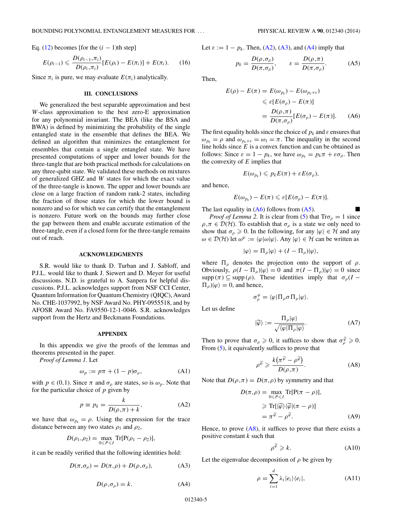Eq.  $(12)$  becomes [for the  $(i - 1)$ th step]

$$
E(\rho_{i-1}) \leqslant \frac{D(\rho_{i-1}, \pi_i)}{D(\rho_i, \pi_i)} [E(\rho_i) - E(\pi_i)] + E(\pi_i). \tag{16}
$$

Since  $\pi_i$  is pure, we may evaluate  $E(\pi_i)$  analytically.

#### **III. CONCLUSIONS**

We generalized the best separable approximation and best *W*-class approximation to the best zero-E approximation for any polynomial invariant. The BEA (like the BSA and BWA) is defined by minimizing the probability of the single entangled state in the ensemble that defines the BEA. We defined an algorithm that minimizes the entanglement for ensembles that contain a single entangled state. We have presented computations of upper and lower bounds for the three-tangle that are both practical methods for calculations on any three-qubit state. We validated these methods on mixtures of generalized GHZ and *W* states for which the exact value of the three-tangle is known. The upper and lower bounds are close on a large fraction of random rank-2 states, including the fraction of those states for which the lower bound is nonzero and so for which we can certify that the entanglement is nonzero. Future work on the bounds may further close the gap between them and enable accurate estimation of the three-tangle, even if a closed form for the three-tangle remains out of reach.

#### **ACKNOWLEDGMENTS**

S.R. would like to thank D. Turban and J. Sabloff, and P.J.L. would like to thank J. Siewert and D. Meyer for useful discussions. N.D. is grateful to A. Sanpera for helpful discussions. P.J.L. acknowledges support from NSF CCI Center, Quantum Information for Quantum Chemistry (QIQC), Award No. CHE-1037992, by NSF Award No. PHY-0955518, and by AFOSR Award No. FA9550-12-1-0046. S.R. acknowledges support from the Hertz and Beckmann Foundations.

#### **APPENDIX**

In this appendix we give the proofs of the lemmas and theorems presented in the paper.

*Proof of Lemma 1.* Let

$$
\omega_p := p\pi + (1 - p)\sigma_\rho,\tag{A1}
$$

with  $p \in (0,1)$ . Since  $\pi$  and  $\sigma_{\rho}$  are states, so is  $\omega_p$ . Note that for the particular choice of *p* given by

$$
p \equiv p_k = \frac{k}{D(\rho, \pi) + k},\tag{A2}
$$

we have that  $\omega_{p_k} = \rho$ . Using the expression for the trace distance between any two states  $\rho_1$  and  $\rho_2$ ,

$$
D(\rho_1, \rho_2) = \max_{0 \leq P \leq I} \text{Tr}[P(\rho_1 - \rho_2)],
$$

it can be readily verified that the following identities hold:

$$
D(\pi, \sigma_{\rho}) = D(\pi, \rho) + D(\rho, \sigma_{\rho}), \tag{A3}
$$

$$
D(\rho, \sigma_{\rho}) = k. \tag{A4}
$$

Let 
$$
\varepsilon := 1 - p_k
$$
. Then, (A2), (A3), and (A4) imply that

$$
p_k = \frac{D(\rho, \sigma_\rho)}{D(\pi, \sigma_\rho)}, \qquad \varepsilon = \frac{D(\rho, \pi)}{D(\pi, \sigma_\rho)}.
$$
 (A5)

Then,

$$
E(\rho) - E(\pi) = E(\omega_{p_k}) - E(\omega_{p_k + \varepsilon})
$$
  
\n
$$
\leq \varepsilon [E(\sigma_\rho) - E(\pi)]
$$
  
\n
$$
= \frac{D(\rho, \pi)}{D(\pi, \sigma_\rho)} [E(\sigma_\rho) - E(\pi)]. \quad (A6)
$$

The first equality holds since the choice of  $p_k$  and  $\varepsilon$  ensures that  $\omega_{p_k} = \rho$  and  $\omega_{p_k+\varepsilon} = \omega_1 = \pi$ . The inequality in the second line holds since *E* is a convex function and can be obtained as follows: Since  $\varepsilon = 1 - p_k$ , we have  $\omega_{p_k} = p_k \pi + \varepsilon \sigma_{\rho}$ . Then the convexity of *E* implies that

$$
E(\omega_{p_k}) \leqslant p_k E(\pi) + \varepsilon E(\sigma_{\rho}),
$$

and hence,

$$
E(\omega_{p_k})-E(\pi)\leq \varepsilon[E(\sigma_{\rho})-E(\pi)].
$$

The last equality in  $(A6)$  follows from  $(A5)$ .

*Proof of Lemma 2.* It is clear from [\(5\)](#page-2-0) that  $\text{Tr}\sigma_{\rho} = 1$  since  $\rho, \pi \in \mathcal{D}(\mathcal{H})$ . To establish that  $\sigma_{\rho}$  is a state we only need to show that  $\sigma_{\rho} \geq 0$ . In the following, for any  $|\varphi\rangle \in \mathcal{H}$  and any *ω* ∈  $D(H)$  let  $ω<sup>φ</sup> := \langle φ | ω | φ \rangle$ . Any  $|φ⟩ ∈ H$  can be written as

$$
|\varphi\rangle = \Pi_{\rho}|\varphi\rangle + (I - \Pi_{\rho})|\varphi\rangle,
$$

where  $\Pi_{\rho}$  denotes the projection onto the support of  $\rho$ . Obviously,  $ρ(I - Π<sub>ρ</sub>)|φ⟩ = 0$  and  $π(I - Π<sub>ρ</sub>)|φ⟩ = 0$  since supp  $(\pi) \subseteq \text{supp } (\rho)$ . These identities imply that  $\sigma_{\rho}(I (\Pi_{\rho})|\varphi\rangle = 0$ , and hence,

$$
\sigma_\rho^\varphi = \langle \varphi | \Pi_\rho \sigma \Pi_\rho | \varphi \rangle.
$$

Let us define

$$
|\widetilde{\varphi}\rangle := \frac{\Pi_{\rho}|\varphi\rangle}{\sqrt{\langle\varphi|\Pi_{\rho}|\varphi\rangle}}.\tag{A7}
$$

Then to prove that  $\sigma_{\rho} \geq 0$ , it suffices to show that  $\sigma_{\rho}^{\tilde{\varphi}} \geq 0$ . From [\(5\)](#page-2-0), it equivalently suffices to prove that

$$
\rho^{\widetilde{\varphi}} \geqslant \frac{k(\pi^{\widetilde{\varphi}} - \rho^{\widetilde{\varphi}})}{D(\rho, \pi)}.
$$
\n(A8)

Note that  $D(\rho, \pi) = D(\pi, \rho)$  by symmetry and that

$$
D(\pi, \rho) = \max_{0 \le P \le I} \text{Tr}[P(\pi - \rho)],
$$
  
\n
$$
\ge \text{Tr}[(\widetilde{\rho}) \langle \widetilde{\varphi} | (\pi - \rho)]
$$
  
\n
$$
= \pi^{\widetilde{\varphi}} - \rho^{\widetilde{\varphi}}.
$$
 (A9)

Hence, to prove  $(A8)$ , it suffices to prove that there exists a positive constant *k* such that

$$
\rho^{\widetilde{\varphi}} \geqslant k. \tag{A10}
$$

Let the eigenvalue decomposition of  $\rho$  be given by

$$
\rho = \sum_{i=1}^{d} \lambda_i |e_i\rangle\langle e_i|,\tag{A11}
$$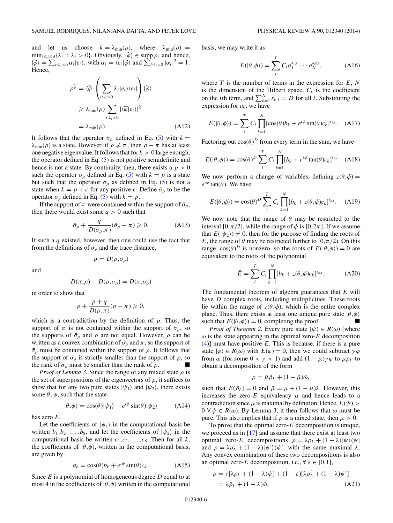and let us choose  $k = \lambda_{\min}(\rho)$ , where  $\lambda_{\min}(\rho) :=$  $\min_{1 \le i \le d} {\lambda_i : \lambda_i > 0}$ . Obviously,  $|\widetilde{\varphi}\rangle \in \text{supp } \rho$ , and hence,<br> $|\widetilde{\varphi}\rangle = \sum_{i, \alpha_i, i \in \mathcal{I}} \varphi(i, \alpha_i)$ , with  $\alpha_i = \langle e_i | \widetilde{\varphi}\rangle$  and  $\sum_{i, \alpha_i, i \in \mathcal{I}} |\alpha_i|^2 = 1$ .  $|\widetilde{\varphi}\rangle = \sum_{i:\lambda_i>0} \alpha_i |e_i\rangle$ , with  $\alpha_i = \langle e_i|\widetilde{\varphi}\rangle$  and  $\sum_{i:\lambda_i>0} |\alpha_i|^2 = 1$ . Hence,

$$
\rho^{\widetilde{\varphi}} = \langle \widetilde{\varphi} | \left( \sum_{i: \lambda_i > 0} \lambda_i |e_i \rangle \langle e_i| \right) | \widetilde{\varphi} \rangle
$$
  
\n
$$
\geq \lambda_{\min}(\rho) \sum_{i: \lambda_i > 0} | \langle \widetilde{\varphi} | e_i \rangle |^2
$$
  
\n
$$
= \lambda_{\min}(\rho). \tag{A12}
$$

It follows that the operator  $\sigma_{\rho}$  defined in Eq. [\(5\)](#page-2-0) with  $k =$  $λ_{min}(ρ)$  is a state. However, if  $ρ ≠ π$ , then  $ρ - π$  has at least one negative eigenvalue. It follows that for  $k > 0$  large enough, the operator defined in Eq.  $(5)$  is not positive semidefinite and hence is not a state. By continuity, then, there exists a  $p > 0$ such the operator  $\sigma_{\rho}$  defined in Eq. [\(5\)](#page-2-0) with  $k = p$  is a state but such that the operator  $\sigma_{\rho}$  as defined in Eq. [\(5\)](#page-2-0) is not a state when  $k = p + \epsilon$  for any positive  $\epsilon$ . Define  $\bar{\sigma}_\rho$  to be the operator  $\sigma_{\rho}$  defined in Eq. [\(5\)](#page-2-0) with  $k = p$ .

If the support of  $\pi$  were contained within the support of  $\bar{\sigma}_o$ , then there would exist some  $q > 0$  such that

$$
\bar{\sigma}_{\rho} + \frac{q}{D(\bar{\sigma}_{\rho}, \pi)} (\bar{\sigma}_{\rho} - \pi) \geqslant 0.
$$
 (A13)

If such a *q* existed, however, then one could use the fact that from the definitions of  $\sigma_{\rho}$  and the trace distance,

$$
p = D(\rho, \sigma_{\rho})
$$

and

$$
D(\pi,\rho)+D(\rho,\sigma_\rho)=D(\pi,\sigma_\rho)
$$

in order to show that

$$
\rho + \frac{p+q}{D(\rho,\pi)}(\rho-\pi) \geq 0,
$$

which is a contradiction by the definition of *p*. Thus, the support of  $\pi$  is not contained within the support of  $\bar{\sigma}_{\rho}$ , so the supports of  $\bar{\sigma}_{\rho}$  and  $\rho$  are not equal. However,  $\rho$  can be written as a convex combination of  $\bar{\sigma}_\rho$  and  $\pi$ , so the support of  $\bar{\sigma}_{\rho}$  must be contained within the support of  $\rho$ . It follows that the support of  $\bar{\sigma}_{\rho}$  is strictly smaller than the support of  $\rho$ , so the rank of  $\bar{\sigma}_{\rho}$  must be smaller than the rank of  $\rho$ .

*Proof of Lemma 3.* Since the range of any mixed state *ρ* is the set of superpositions of the eigenvectors of  $\rho$ , it suffices to show that for any two pure states  $|\psi_1\rangle$  and  $|\psi_2\rangle$ , there exists some  $\theta$ ,  $\phi$ , such that the state

$$
|\theta,\phi\rangle = \cos(\theta)|\psi_1\rangle + e^{i\phi}\sin(\theta)|\psi_2\rangle \tag{A14}
$$

has zero *E*.

Let the coefficients of  $|\psi_1\rangle$  in the computational basis be written  $b_1, b_2, \ldots, b_8$ , and let the coefficients of  $|\psi_2\rangle$  in the computational basis be written  $c_1, c_2, \ldots, c_8$ . Then for all  $k$ , the coefficients of  $|\theta, \phi\rangle$ , written in the computational basis, are given by

$$
a_k = \cos(\theta)b_k + e^{i\phi}\sin(\theta)c_k.
$$
 (A15)

Since *E* is a polynomial of homogeneous degree *D* equal to at most 4 in the coefficients of  $|\theta, \phi\rangle$  written in the computational basis, we may write it as

$$
E(|\theta,\phi\rangle) = \sum_{i}^{T} C_i a_1^{s_{1,i}} \cdots a_N^{s_{N,i}},
$$
 (A16)

where *T* is the number of terms in the expression for *E*, *N* is the dimension of the Hilbert space,  $C_i$  is the coefficient on the *i*th term, and  $\sum_{k=1}^{N} s_{k,i} = D$  for all *i*. Substituting the expression for  $a_k$ , we have

$$
E(|\theta,\phi\rangle) = \sum_{i}^{T} C_i \prod_{k=1}^{N} [\cos(\theta)b_k + e^{i\phi}\sin(\theta)c_k]^{s_{k,i}}.
$$
 (A17)

Factoring out  $cos(\theta)^D$  from every term in the sum, we have

$$
E(|\theta,\phi\rangle) = \cos(\theta)^D \sum_{i}^{T} C_i \prod_{k=1}^{N} [b_k + e^{i\phi} \tan(\theta) c_k]^{s_{k,i}}.
$$
 (A18)

We now perform a change of variables, defining  $z(\theta, \phi) =$  $e^{i\phi}$  tan( $\theta$ ). We have

$$
E(|\theta,\phi\rangle) = \cos(\theta)^D \sum_{i}^{T} C_i \prod_{k=1}^{N} [b_k + z(\theta,\phi)c_k]^{s_{k,i}}.
$$
 (A19)

We now note that the range of  $\theta$  may be restricted to the interval [0, $\pi/2$ ], while the range of  $\phi$  is [0, $2\pi$ ]. If we assume that  $E(|\psi_2\rangle) \neq 0$ , then for the purpose of finding the roots of *E*, the range of  $\theta$  may be restricted further to [0, $\pi/2$ ). On this range,  $\cos(\theta)^D$  is nonzero, so the roots of  $E(|\theta, \phi\rangle) = 0$  are equivalent to the roots of the polynomial

$$
\bar{E} = \sum_{i}^{T} C_{i} \prod_{k=1}^{N} [b_{k} + z(\theta, \phi)c_{k}]^{s_{k,i}}.
$$
 (A20)

The fundamental theorem of algebra guarantees that  $\bar{E}$  will have *D* complex roots, including multiplicities. These roots lie within the range of  $z(\theta, \phi)$ , which is the entire complex plane. Thus, there exists at least one unique pure state  $|\theta, \phi\rangle$ such that  $E(|\theta, \phi\rangle) = 0$ , completing the proof.

*Proof of Theorem 2.* Every pure state  $|\psi\rangle \in R(\omega)$  [where  $\omega$  is the state appearing in the optimal zero- $E$  decomposition [\(4\)](#page-2-0)] must have positive *E*. This is because, if there is a pure state  $|\varphi\rangle \in R(\omega)$  with  $E(\varphi) = 0$ , then we could subtract  $\gamma \varphi$ from  $\omega$  (for some  $0 < \gamma < 1$ ) and add  $(1 - \mu)\gamma\varphi$  to  $\mu\rho_L$  to obtain a decomposition of the form

$$
\rho = \tilde{\mu}\tilde{\rho}_L + (1 - \tilde{\mu})\tilde{\omega},
$$

such that  $E(\tilde{\rho}_L) = 0$  and  $\tilde{\mu} = \mu + (1 - \mu)\lambda$ . However, this increases the zero- $E$  equivalency  $\mu$  and hence leads to a contradiction since  $\mu$  is maximal by definition. Hence,  $E(\psi)$  *>*  $0 \forall \psi \in R(\omega)$ . By Lemma 3, it then follows that  $\omega$  must be pure. This also implies that if  $\rho$  is a mixed state, then  $\mu > 0$ .

To prove that the optimal zero-*E* decomposition is unique, we proceed as in [\[17\]](#page-7-0) and assume that there exist at least two optimal zero-*E* decompositions  $\rho = \lambda \rho_L + (1 - \lambda) |\psi\rangle \langle \psi|$ and  $\rho = \lambda \rho'_L + (1 - \lambda) |\psi'\rangle \langle \psi'|$  with the same maximal  $\lambda$ . Any convex combination of these two decompositions is also an optimal zero-*E* decomposition, i.e.,  $\forall \varepsilon \in [0,1],$ 

$$
\rho = \varepsilon [\lambda \rho_L + (1 - \lambda)\psi] + (1 - \varepsilon)[\lambda \rho'_L + (1 - \lambda)\psi']
$$
  
=  $\lambda \tilde{\rho}_L + (1 - \lambda)\tilde{\omega}$ , (A21)